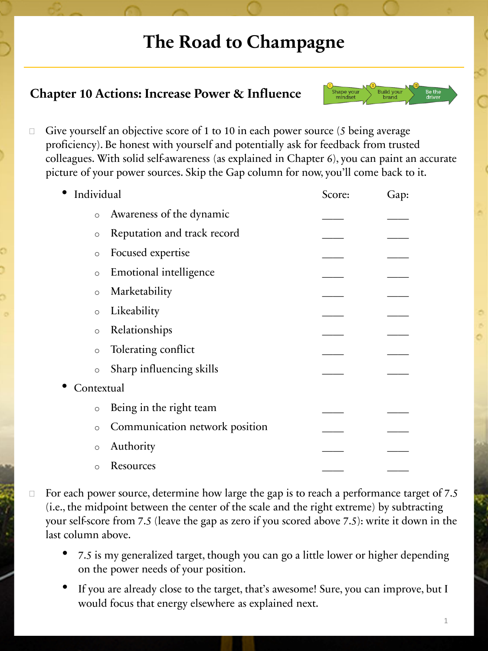### **The Road to Champagne**

### **Chapter 10 Actions: Increase Power & Influence**



 $\Box$  Give yourself an objective score of 1 to 10 in each power source (5 being average proficiency). Be honest with yourself and potentially ask for feedback from trusted colleagues. With solid self-awareness (as explained in Chapter 6), you can paint an accurate picture of your power sources. Skip the Gap column for now, you'll come back to it.

| Individual |                                | Score: | Gap: |
|------------|--------------------------------|--------|------|
| $\circ$    | Awareness of the dynamic       |        |      |
| $\circ$    | Reputation and track record    |        |      |
| $\circ$    | Focused expertise              |        |      |
| $\circ$    | <b>Emotional intelligence</b>  |        |      |
| $\circ$    | Marketability                  |        |      |
| $\circ$    | Likeability                    |        |      |
| $\circ$    | Relationships                  |        |      |
| $\circ$    | Tolerating conflict            |        |      |
| $\circ$    | Sharp influencing skills       |        |      |
| Contextual |                                |        |      |
| $\circ$    | Being in the right team        |        |      |
| $\circ$    | Communication network position |        |      |
| $\circ$    | Authority                      |        |      |
| O          | Resources                      |        |      |

- $\Box$  For each power source, determine how large the gap is to reach a performance target of 7.5 (i.e., the midpoint between the center of the scale and the right extreme) by subtracting your self-score from 7.5 (leave the gap as zero if you scored above 7.5): write it down in the last column above.
	- 7.5 is my generalized target, though you can go a little lower or higher depending on the power needs of your position.
	- If you are already close to the target, that's awesome! Sure, you can improve, but I would focus that energy elsewhere as explained next.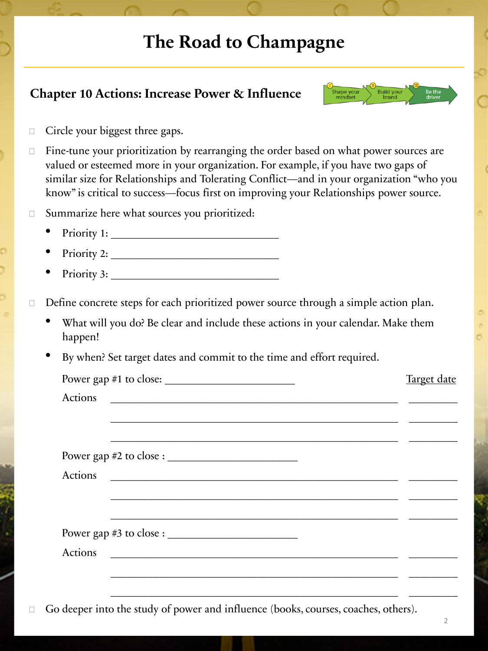# **The Road to Champagne**

#### **Chapter 10 Actions: Increase Power & Influence**



 $\Box$  Circle your biggest three gaps.

 $\Box$  Fine-tune your prioritization by rearranging the order based on what power sources are valued or esteemed more in your organization. For example, if you have two gaps of similar size for Relationships and Tolerating Conflict—and in your organization "who you know" is critical to success—focus first on improving your Relationships power source.

□ Summarize here what sources you prioritized:

- Priority 1:
- Priority 2: \_\_\_\_\_\_\_\_\_\_\_\_\_\_\_\_\_\_\_\_\_\_\_\_\_\_\_\_\_\_\_
- Priority 3: \_\_\_\_\_\_\_\_\_\_\_\_\_\_\_\_\_\_\_\_\_\_\_\_\_\_\_\_\_\_\_

□ Define concrete steps for each prioritized power source through a simple action plan.

- What will you do? Be clear and include these actions in your calendar. Make them happen!
- By when? Set target dates and commit to the time and effort required.

| Power gap #1 to close: $\frac{1}{2}$ = $\frac{1}{2}$ = $\frac{1}{2}$ = $\frac{1}{2}$ = $\frac{1}{2}$ = $\frac{1}{2}$ = $\frac{1}{2}$ = $\frac{1}{2}$ = $\frac{1}{2}$ = $\frac{1}{2}$ = $\frac{1}{2}$ = $\frac{1}{2}$ = $\frac{1}{2}$ = $\frac{1}{2}$ = $\frac{1}{2}$ = $\frac{1}{2}$ = $\frac{1}{$ | Target date |
|----------------------------------------------------------------------------------------------------------------------------------------------------------------------------------------------------------------------------------------------------------------------------------------------------|-------------|
| Actions                                                                                                                                                                                                                                                                                            |             |
|                                                                                                                                                                                                                                                                                                    |             |
|                                                                                                                                                                                                                                                                                                    |             |
|                                                                                                                                                                                                                                                                                                    |             |
| Actions                                                                                                                                                                                                                                                                                            |             |
|                                                                                                                                                                                                                                                                                                    |             |
|                                                                                                                                                                                                                                                                                                    |             |
|                                                                                                                                                                                                                                                                                                    |             |
| Actions                                                                                                                                                                                                                                                                                            |             |
|                                                                                                                                                                                                                                                                                                    |             |
|                                                                                                                                                                                                                                                                                                    |             |

Go deeper into the study of power and influence (books, courses, coaches, others).